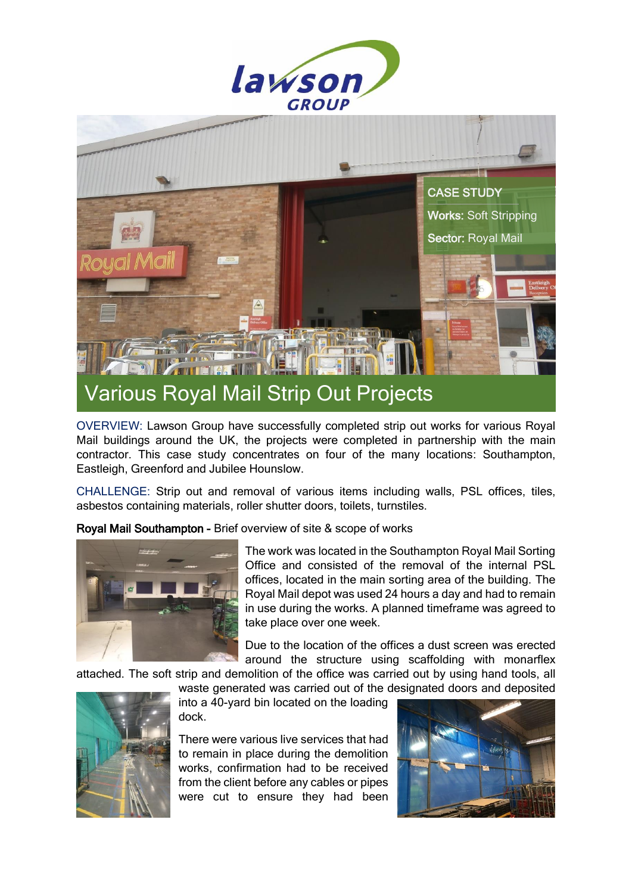



OVERVIEW: Lawson Group have successfully completed strip out works for various Royal Mail buildings around the UK, the projects were completed in partnership with the main contractor. This case study concentrates on four of the many locations: Southampton, Eastleigh, Greenford and Jubilee Hounslow.

CHALLENGE: Strip out and removal of various items including walls, PSL offices, tiles, asbestos containing materials, roller shutter doors, toilets, turnstiles.

Royal Mail Southampton - Brief overview of site & scope of works



The work was located in the Southampton Royal Mail Sorting Office and consisted of the removal of the internal PSL offices, located in the main sorting area of the building. The Royal Mail depot was used 24 hours a day and had to remain in use during the works. A planned timeframe was agreed to take place over one week.

Due to the location of the offices a dust screen was erected around the structure using scaffolding with monarflex

attached. The soft strip and demolition of the office was carried out by using hand tools, all



into a 40-yard bin located on the loading dock.

There were various live services that had to remain in place during the demolition works, confirmation had to be received from the client before any cables or pipes were cut to ensure they had been

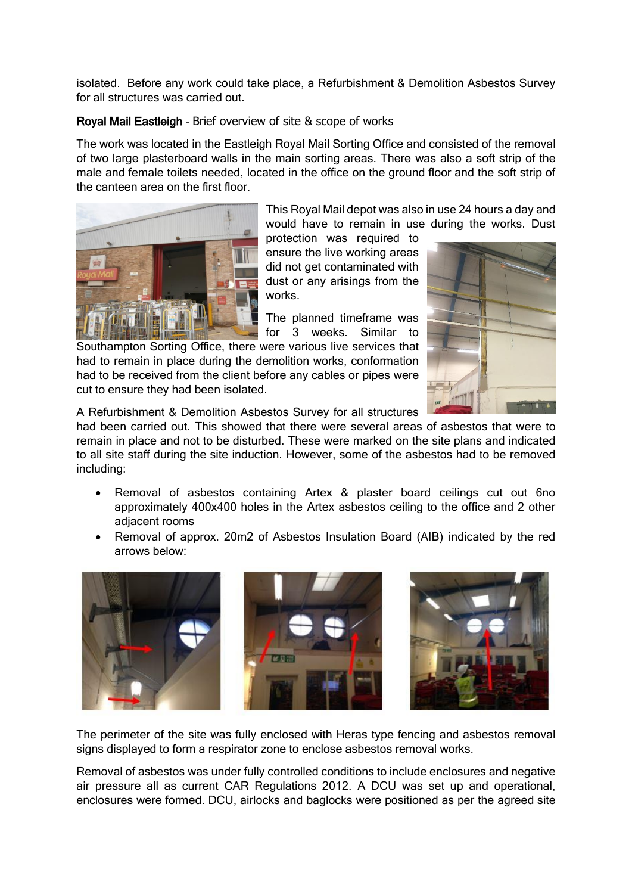isolated. Before any work could take place, a Refurbishment & Demolition Asbestos Survey for all structures was carried out.

## Royal Mail Eastleigh - Brief overview of site & scope of works

The work was located in the Eastleigh Royal Mail Sorting Office and consisted of the removal of two large plasterboard walls in the main sorting areas. There was also a soft strip of the male and female toilets needed, located in the office on the ground floor and the soft strip of the canteen area on the first floor.



This Royal Mail depot was also in use 24 hours a day and would have to remain in use during the works. Dust

protection was required to ensure the live working areas did not get contaminated with dust or any arisings from the works.

The planned timeframe was for 3 weeks. Similar to

Southampton Sorting Office, there were various live services that had to remain in place during the demolition works, conformation had to be received from the client before any cables or pipes were cut to ensure they had been isolated.



A Refurbishment & Demolition Asbestos Survey for all structures

had been carried out. This showed that there were several areas of asbestos that were to remain in place and not to be disturbed. These were marked on the site plans and indicated to all site staff during the site induction. However, some of the asbestos had to be removed including:

- Removal of asbestos containing Artex & plaster board ceilings cut out 6no approximately 400x400 holes in the Artex asbestos ceiling to the office and 2 other adjacent rooms
- Removal of approx. 20m2 of Asbestos Insulation Board (AIB) indicated by the red arrows below:



The perimeter of the site was fully enclosed with Heras type fencing and asbestos removal signs displayed to form a respirator zone to enclose asbestos removal works.

Removal of asbestos was under fully controlled conditions to include enclosures and negative air pressure all as current CAR Regulations 2012. A DCU was set up and operational, enclosures were formed. DCU, airlocks and baglocks were positioned as per the agreed site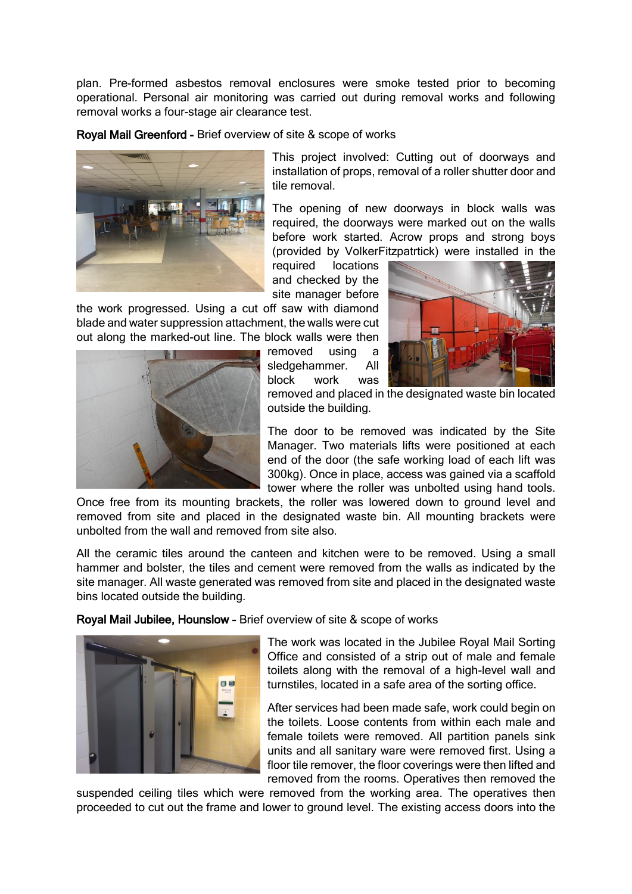plan. Pre-formed asbestos removal enclosures were smoke tested prior to becoming operational. Personal air monitoring was carried out during removal works and following removal works a four-stage air clearance test.

Royal Mail Greenford - Brief overview of site & scope of works



This project involved: Cutting out of doorways and installation of props, removal of a roller shutter door and tile removal.

The opening of new doorways in block walls was required, the doorways were marked out on the walls before work started. Acrow props and strong boys (provided by VolkerFitzpatrtick) were installed in the

required locations and checked by the site manager before

the work progressed. Using a cut off saw with diamond blade and water suppression attachment, the walls were cut out along the marked-out line. The block walls were then

> removed using a sledgehammer. All block work was





removed and placed in the designated waste bin located outside the building.

The door to be removed was indicated by the Site Manager. Two materials lifts were positioned at each end of the door (the safe working load of each lift was 300kg). Once in place, access was gained via a scaffold tower where the roller was unbolted using hand tools.

Once free from its mounting brackets, the roller was lowered down to ground level and removed from site and placed in the designated waste bin. All mounting brackets were unbolted from the wall and removed from site also.

All the ceramic tiles around the canteen and kitchen were to be removed. Using a small hammer and bolster, the tiles and cement were removed from the walls as indicated by the site manager. All waste generated was removed from site and placed in the designated waste bins located outside the building.

Royal Mail Jubilee, Hounslow - Brief overview of site & scope of works



The work was located in the Jubilee Royal Mail Sorting Office and consisted of a strip out of male and female toilets along with the removal of a high-level wall and turnstiles, located in a safe area of the sorting office.

After services had been made safe, work could begin on the toilets. Loose contents from within each male and female toilets were removed. All partition panels sink units and all sanitary ware were removed first. Using a floor tile remover, the floor coverings were then lifted and removed from the rooms. Operatives then removed the

suspended ceiling tiles which were removed from the working area. The operatives then proceeded to cut out the frame and lower to ground level. The existing access doors into the